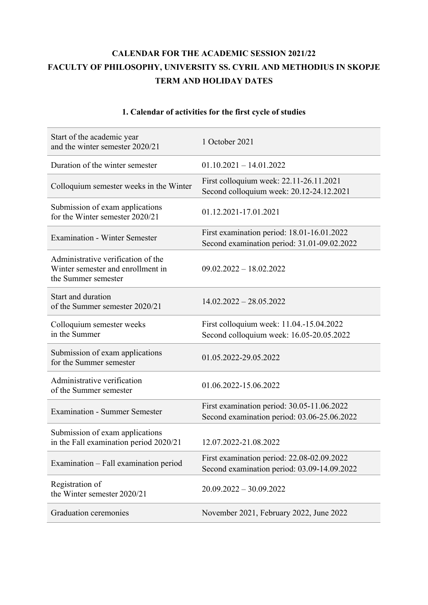## **CALENDAR FOR THE ACADEMIC SESSION 2021/22 FACULTY OF PHILOSOPHY, UNIVERSITY SS. CYRIL AND METHODIUS IN SKOPJE TERM AND HOLIDAY DATES**

| Start of the academic year<br>and the winter semester 2020/21                                  | 1 October 2021                                                                            |
|------------------------------------------------------------------------------------------------|-------------------------------------------------------------------------------------------|
| Duration of the winter semester                                                                | $01.10.2021 - 14.01.2022$                                                                 |
| Colloquium semester weeks in the Winter                                                        | First colloquium week: 22.11-26.11.2021<br>Second colloquium week: 20.12-24.12.2021       |
| Submission of exam applications<br>for the Winter semester 2020/21                             | 01.12.2021-17.01.2021                                                                     |
| <b>Examination - Winter Semester</b>                                                           | First examination period: 18.01-16.01.2022<br>Second examination period: 31.01-09.02.2022 |
| Administrative verification of the<br>Winter semester and enrollment in<br>the Summer semester | $09.02.2022 - 18.02.2022$                                                                 |
| Start and duration<br>of the Summer semester 2020/21                                           | $14.02.2022 - 28.05.2022$                                                                 |
| Colloquium semester weeks<br>in the Summer                                                     | First colloquium week: 11.04.-15.04.2022<br>Second colloquium week: 16.05-20.05.2022      |
| Submission of exam applications<br>for the Summer semester                                     | 01.05.2022-29.05.2022                                                                     |
| Administrative verification<br>of the Summer semester                                          | 01.06.2022-15.06.2022                                                                     |
| <b>Examination - Summer Semester</b>                                                           | First examination period: 30.05-11.06.2022<br>Second examination period: 03.06-25.06.2022 |
| Submission of exam applications<br>in the Fall examination period 2020/21                      | 12.07.2022-21.08.2022                                                                     |
| Examination - Fall examination period                                                          | First examination period: 22.08-02.09.2022<br>Second examination period: 03.09-14.09.2022 |
| Registration of<br>the Winter semester 2020/21                                                 | $20.09.2022 - 30.09.2022$                                                                 |
| Graduation ceremonies                                                                          | November 2021, February 2022, June 2022                                                   |

## **1. Calendar of activities for the first cycle of studies**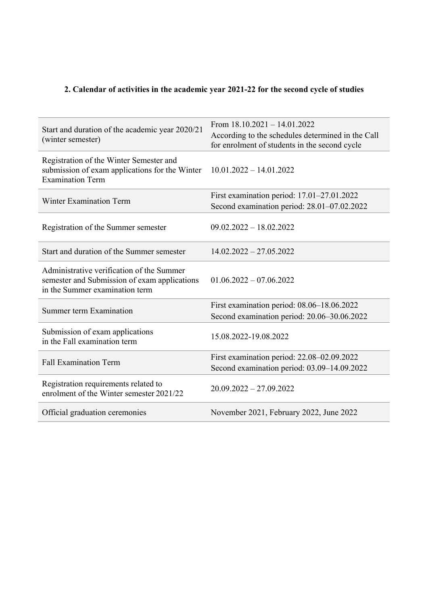## **2. Calendar of activities in the academic year 2021-22 for the second cycle of studies**

| Start and duration of the academic year 2020/21<br>(winter semester)                                                        | From $18.10.2021 - 14.01.2022$<br>According to the schedules determined in the Call<br>for enrolment of students in the second cycle |
|-----------------------------------------------------------------------------------------------------------------------------|--------------------------------------------------------------------------------------------------------------------------------------|
| Registration of the Winter Semester and<br>submission of exam applications for the Winter<br><b>Examination Term</b>        | $10.01.2022 - 14.01.2022$                                                                                                            |
| <b>Winter Examination Term</b>                                                                                              | First examination period: 17.01–27.01.2022<br>Second examination period: 28.01-07.02.2022                                            |
| Registration of the Summer semester                                                                                         | $09.02.2022 - 18.02.2022$                                                                                                            |
| Start and duration of the Summer semester                                                                                   | $14.02.2022 - 27.05.2022$                                                                                                            |
| Administrative verification of the Summer<br>semester and Submission of exam applications<br>in the Summer examination term | $01.06.2022 - 07.06.2022$                                                                                                            |
| Summer term Examination                                                                                                     | First examination period: 08.06-18.06.2022<br>Second examination period: 20.06-30.06.2022                                            |
| Submission of exam applications<br>in the Fall examination term                                                             | 15.08.2022-19.08.2022                                                                                                                |
| <b>Fall Examination Term</b>                                                                                                | First examination period: 22.08–02.09.2022<br>Second examination period: 03.09-14.09.2022                                            |
| Registration requirements related to<br>enrolment of the Winter semester 2021/22                                            | $20.09.2022 - 27.09.2022$                                                                                                            |
| Official graduation ceremonies                                                                                              | November 2021, February 2022, June 2022                                                                                              |